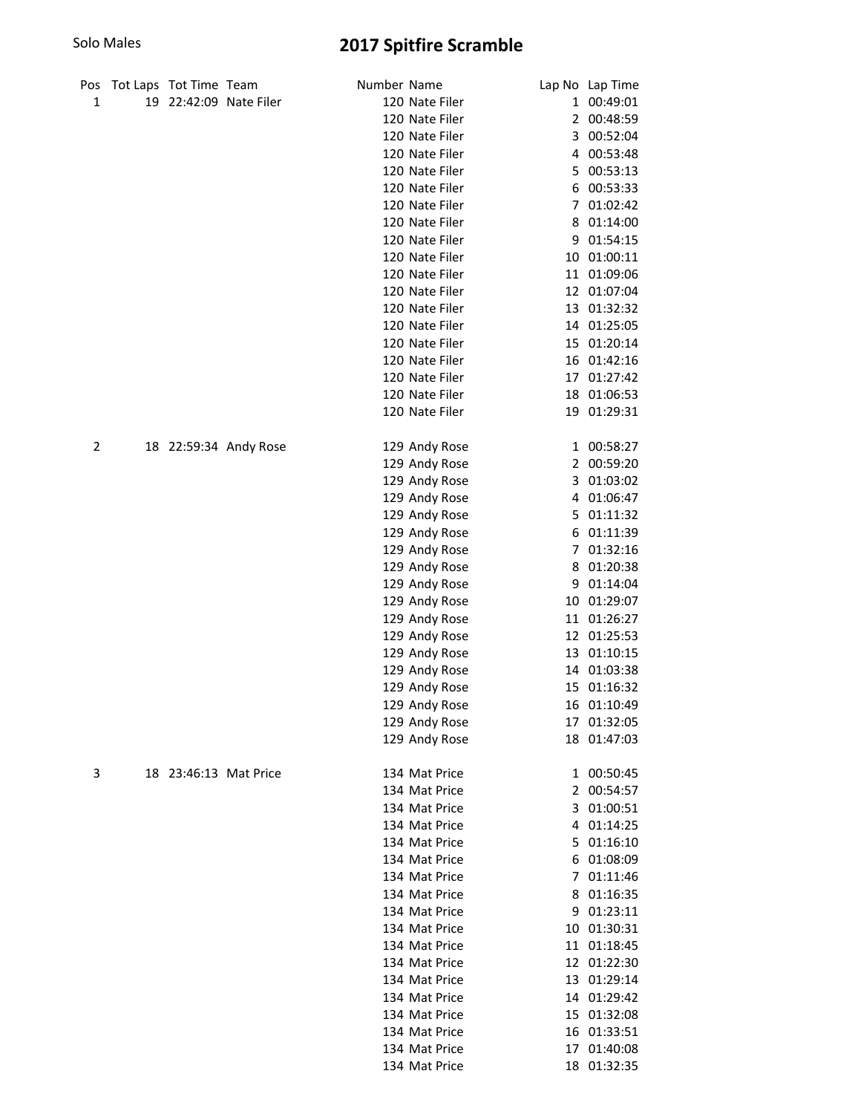| Pos | Tot Laps Tot Time Team |                        | Number Name |                |   | Lap No Lap Time |
|-----|------------------------|------------------------|-------------|----------------|---|-----------------|
| 1   |                        | 19 22:42:09 Nate Filer |             | 120 Nate Filer |   | 1 00:49:01      |
|     |                        |                        |             | 120 Nate Filer |   | 2 00:48:59      |
|     |                        |                        |             | 120 Nate Filer |   | 3 00:52:04      |
|     |                        |                        |             | 120 Nate Filer |   | 4 00:53:48      |
|     |                        |                        |             | 120 Nate Filer |   | 5 00:53:13      |
|     |                        |                        |             | 120 Nate Filer | 6 | 00:53:33        |
|     |                        |                        |             | 120 Nate Filer | 7 | 01:02:42        |
|     |                        |                        |             | 120 Nate Filer | 8 | 01:14:00        |
|     |                        |                        |             | 120 Nate Filer | 9 | 01:54:15        |
|     |                        |                        |             | 120 Nate Filer |   | 10 01:00:11     |
|     |                        |                        |             | 120 Nate Filer |   | 11 01:09:06     |
|     |                        |                        |             | 120 Nate Filer |   | 12 01:07:04     |
|     |                        |                        |             | 120 Nate Filer |   | 13 01:32:32     |
|     |                        |                        |             | 120 Nate Filer |   | 14 01:25:05     |
|     |                        |                        |             | 120 Nate Filer |   | 15 01:20:14     |
|     |                        |                        |             | 120 Nate Filer |   | 16 01:42:16     |
|     |                        |                        |             | 120 Nate Filer |   | 17 01:27:42     |
|     |                        |                        |             | 120 Nate Filer |   | 18 01:06:53     |
|     |                        |                        |             | 120 Nate Filer |   | 19 01:29:31     |
| 2   |                        | 18 22:59:34 Andy Rose  |             | 129 Andy Rose  |   | 1 00:58:27      |
|     |                        |                        |             | 129 Andy Rose  |   | 2 00:59:20      |
|     |                        |                        |             | 129 Andy Rose  |   | 3 01:03:02      |
|     |                        |                        |             | 129 Andy Rose  |   | 4 01:06:47      |
|     |                        |                        |             | 129 Andy Rose  |   | 5 01:11:32      |
|     |                        |                        |             | 129 Andy Rose  |   | 6 01:11:39      |
|     |                        |                        |             | 129 Andy Rose  |   | 7 01:32:16      |
|     |                        |                        |             | 129 Andy Rose  |   | 8 01:20:38      |
|     |                        |                        |             | 129 Andy Rose  |   | 9 01:14:04      |
|     |                        |                        |             | 129 Andy Rose  |   | 10 01:29:07     |
|     |                        |                        |             | 129 Andy Rose  |   | 11 01:26:27     |
|     |                        |                        |             | 129 Andy Rose  |   | 12 01:25:53     |
|     |                        |                        |             | 129 Andy Rose  |   | 13 01:10:15     |
|     |                        |                        |             | 129 Andy Rose  |   | 14 01:03:38     |
|     |                        |                        |             | 129 Andy Rose  |   | 15 01:16:32     |
|     |                        |                        |             | 129 Andy Rose  |   | 16 01:10:49     |
|     |                        |                        |             | 129 Andy Rose  |   | 17 01:32:05     |
|     |                        |                        |             | 129 Andy Rose  |   | 18 01:47:03     |
| 3   |                        | 18 23:46:13 Mat Price  |             | 134 Mat Price  |   | 1 00:50:45      |
|     |                        |                        |             | 134 Mat Price  |   | 2 00:54:57      |
|     |                        |                        |             | 134 Mat Price  |   | 3 01:00:51      |
|     |                        |                        |             | 134 Mat Price  |   | 4 01:14:25      |
|     |                        |                        |             | 134 Mat Price  |   | 5 01:16:10      |
|     |                        |                        |             | 134 Mat Price  |   | 6 01:08:09      |
|     |                        |                        |             | 134 Mat Price  |   | 7 01:11:46      |
|     |                        |                        |             | 134 Mat Price  |   | 8 01:16:35      |
|     |                        |                        |             | 134 Mat Price  |   | 9 01:23:11      |
|     |                        |                        |             | 134 Mat Price  |   | 10 01:30:31     |
|     |                        |                        |             | 134 Mat Price  |   | 11 01:18:45     |
|     |                        |                        |             | 134 Mat Price  |   | 12 01:22:30     |
|     |                        |                        |             | 134 Mat Price  |   | 13 01:29:14     |
|     |                        |                        |             | 134 Mat Price  |   | 14 01:29:42     |
|     |                        |                        |             | 134 Mat Price  |   | 15 01:32:08     |
|     |                        |                        |             | 134 Mat Price  |   | 16 01:33:51     |
|     |                        |                        |             | 134 Mat Price  |   | 17 01:40:08     |
|     |                        |                        |             | 134 Mat Price  |   | 18 01:32:35     |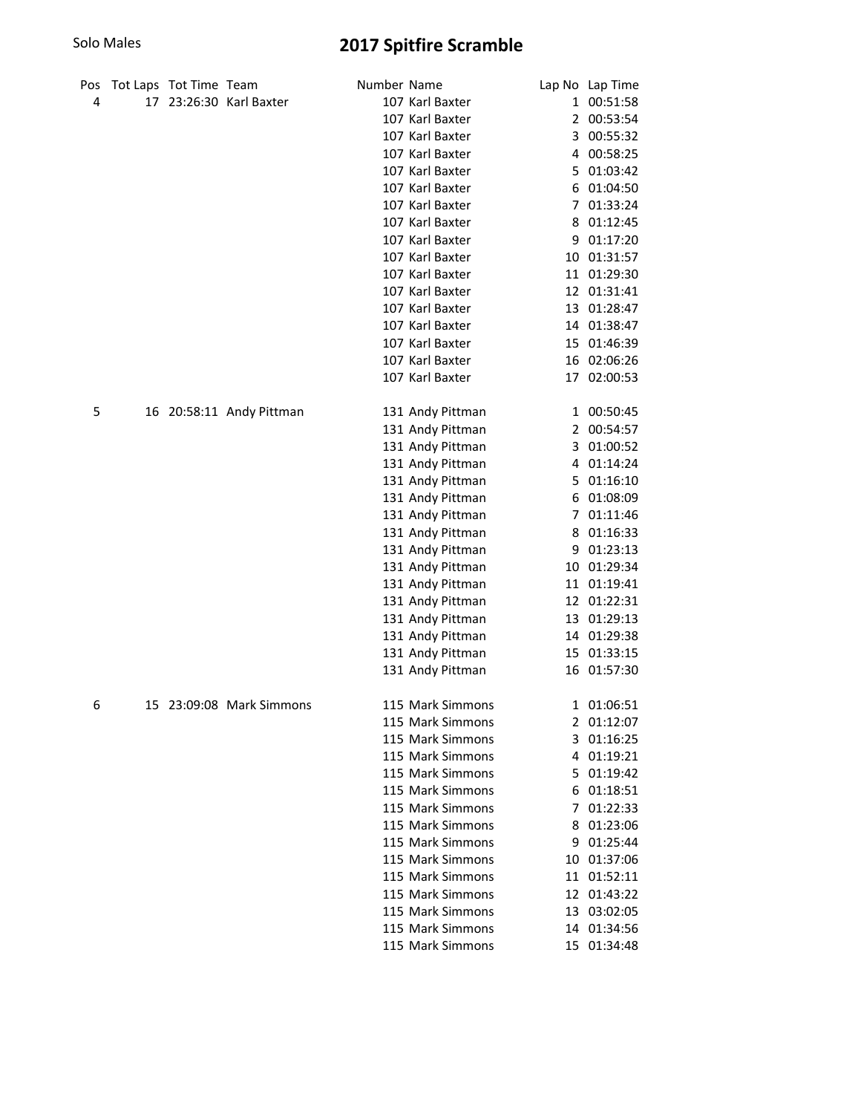| Pos | Tot Laps Tot Time Team |                          | Number Name |                  |                | Lap No Lap Time |
|-----|------------------------|--------------------------|-------------|------------------|----------------|-----------------|
| 4   |                        | 17 23:26:30 Karl Baxter  |             | 107 Karl Baxter  |                | 1 00:51:58      |
|     |                        |                          |             | 107 Karl Baxter  |                | 2 00:53:54      |
|     |                        |                          |             | 107 Karl Baxter  | 3              | 00:55:32        |
|     |                        |                          |             | 107 Karl Baxter  | 4              | 00:58:25        |
|     |                        |                          |             | 107 Karl Baxter  | 5.             | 01:03:42        |
|     |                        |                          |             | 107 Karl Baxter  | 6              | 01:04:50        |
|     |                        |                          |             | 107 Karl Baxter  | $\overline{7}$ | 01:33:24        |
|     |                        |                          |             | 107 Karl Baxter  | 8              | 01:12:45        |
|     |                        |                          |             | 107 Karl Baxter  | 9              | 01:17:20        |
|     |                        |                          |             | 107 Karl Baxter  | 10             | 01:31:57        |
|     |                        |                          |             | 107 Karl Baxter  |                | 11 01:29:30     |
|     |                        |                          |             | 107 Karl Baxter  |                | 12 01:31:41     |
|     |                        |                          |             | 107 Karl Baxter  |                | 13 01:28:47     |
|     |                        |                          |             | 107 Karl Baxter  |                | 14 01:38:47     |
|     |                        |                          |             | 107 Karl Baxter  |                | 15 01:46:39     |
|     |                        |                          |             | 107 Karl Baxter  |                | 16 02:06:26     |
|     |                        |                          |             | 107 Karl Baxter  |                | 17 02:00:53     |
|     |                        |                          |             |                  |                |                 |
| 5   |                        | 16 20:58:11 Andy Pittman |             | 131 Andy Pittman |                | 1 00:50:45      |
|     |                        |                          |             | 131 Andy Pittman |                | 2 00:54:57      |
|     |                        |                          |             | 131 Andy Pittman |                | 3 01:00:52      |
|     |                        |                          |             | 131 Andy Pittman |                | 4 01:14:24      |
|     |                        |                          |             | 131 Andy Pittman |                | 5 01:16:10      |
|     |                        |                          |             | 131 Andy Pittman |                | 6 01:08:09      |
|     |                        |                          |             | 131 Andy Pittman |                | 7 01:11:46      |
|     |                        |                          |             | 131 Andy Pittman |                | 8 01:16:33      |
|     |                        |                          |             | 131 Andy Pittman |                | 9 01:23:13      |
|     |                        |                          |             | 131 Andy Pittman |                | 10 01:29:34     |
|     |                        |                          |             | 131 Andy Pittman |                | 11 01:19:41     |
|     |                        |                          |             | 131 Andy Pittman |                | 12 01:22:31     |
|     |                        |                          |             | 131 Andy Pittman |                | 13 01:29:13     |
|     |                        |                          |             | 131 Andy Pittman |                | 14 01:29:38     |
|     |                        |                          |             | 131 Andy Pittman |                | 15 01:33:15     |
|     |                        |                          |             | 131 Andy Pittman |                | 16 01:57:30     |
|     |                        |                          |             |                  |                |                 |
| 6   |                        | 15 23:09:08 Mark Simmons |             | 115 Mark Simmons |                | 1 01:06:51      |
|     |                        |                          |             | 115 Mark Simmons |                | 2 01:12:07      |
|     |                        |                          |             | 115 Mark Simmons |                | 3 01:16:25      |
|     |                        |                          |             | 115 Mark Simmons |                | 4 01:19:21      |
|     |                        |                          |             | 115 Mark Simmons |                | 5 01:19:42      |
|     |                        |                          |             | 115 Mark Simmons |                | 6 01:18:51      |
|     |                        |                          |             | 115 Mark Simmons |                | 7 01:22:33      |
|     |                        |                          |             | 115 Mark Simmons |                | 8 01:23:06      |
|     |                        |                          |             | 115 Mark Simmons |                | 9 01:25:44      |
|     |                        |                          |             | 115 Mark Simmons |                | 10 01:37:06     |
|     |                        |                          |             | 115 Mark Simmons |                | 11 01:52:11     |
|     |                        |                          |             | 115 Mark Simmons |                | 12 01:43:22     |
|     |                        |                          |             | 115 Mark Simmons |                | 13 03:02:05     |
|     |                        |                          |             | 115 Mark Simmons |                | 14 01:34:56     |
|     |                        |                          |             | 115 Mark Simmons |                | 15 01:34:48     |
|     |                        |                          |             |                  |                |                 |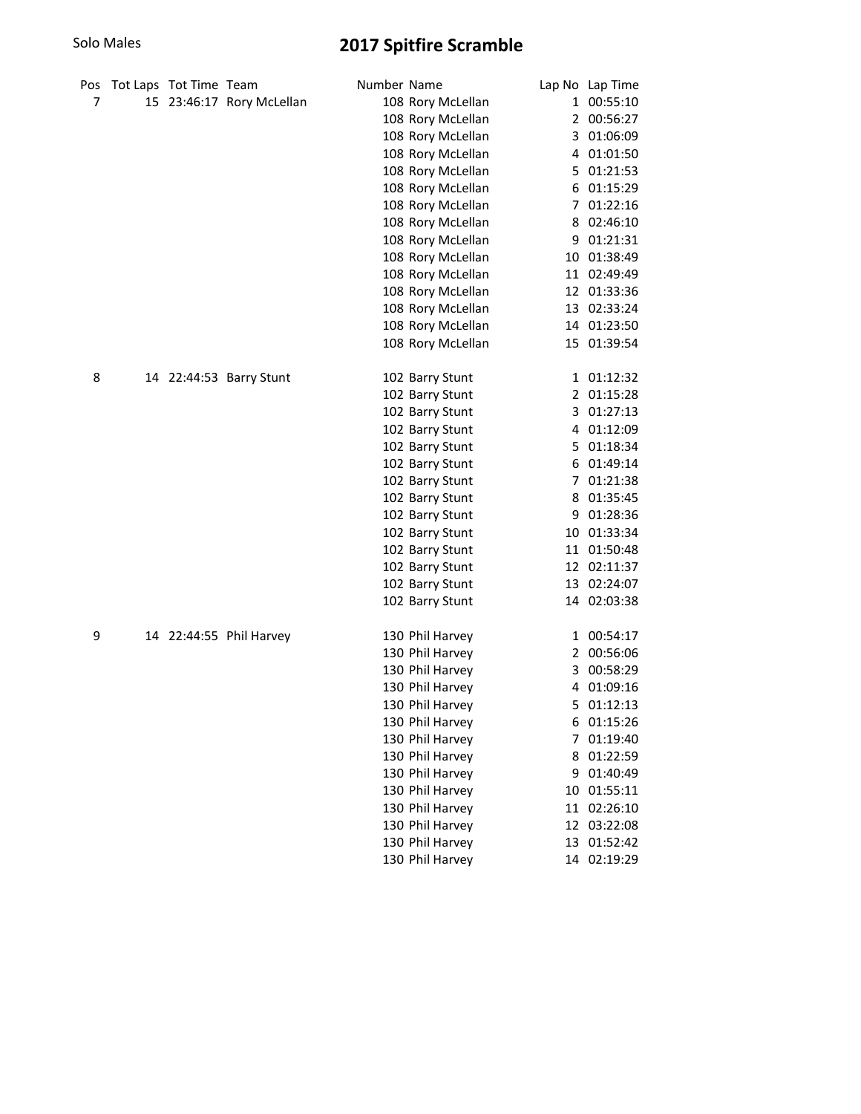| Pos | Tot Laps Tot Time Team |                           | Number Name |                   |    | Lap No Lap Time |
|-----|------------------------|---------------------------|-------------|-------------------|----|-----------------|
| 7   |                        | 15 23:46:17 Rory McLellan |             | 108 Rory McLellan |    | 1 00:55:10      |
|     |                        |                           |             | 108 Rory McLellan |    | 2 00:56:27      |
|     |                        |                           |             | 108 Rory McLellan |    | 3 01:06:09      |
|     |                        |                           |             | 108 Rory McLellan |    | 4 01:01:50      |
|     |                        |                           |             | 108 Rory McLellan |    | 5 01:21:53      |
|     |                        |                           |             | 108 Rory McLellan |    | 6 01:15:29      |
|     |                        |                           |             | 108 Rory McLellan |    | 7 01:22:16      |
|     |                        |                           |             | 108 Rory McLellan |    | 8 02:46:10      |
|     |                        |                           |             | 108 Rory McLellan |    | 9 01:21:31      |
|     |                        |                           |             | 108 Rory McLellan |    | 10 01:38:49     |
|     |                        |                           |             | 108 Rory McLellan |    | 11 02:49:49     |
|     |                        |                           |             | 108 Rory McLellan |    | 12 01:33:36     |
|     |                        |                           |             | 108 Rory McLellan |    | 13 02:33:24     |
|     |                        |                           |             | 108 Rory McLellan |    | 14 01:23:50     |
|     |                        |                           |             | 108 Rory McLellan |    | 15 01:39:54     |
| 8   |                        | 14 22:44:53 Barry Stunt   |             | 102 Barry Stunt   |    | 1 01:12:32      |
|     |                        |                           |             | 102 Barry Stunt   | 2  | 01:15:28        |
|     |                        |                           |             | 102 Barry Stunt   | 3  | 01:27:13        |
|     |                        |                           |             | 102 Barry Stunt   | 4  | 01:12:09        |
|     |                        |                           |             | 102 Barry Stunt   | 5. | 01:18:34        |
|     |                        |                           |             | 102 Barry Stunt   |    | 6 01:49:14      |
|     |                        |                           |             | 102 Barry Stunt   | 7  | 01:21:38        |
|     |                        |                           |             | 102 Barry Stunt   |    | 8 01:35:45      |
|     |                        |                           |             | 102 Barry Stunt   |    | 9 01:28:36      |
|     |                        |                           |             | 102 Barry Stunt   |    | 10 01:33:34     |
|     |                        |                           |             | 102 Barry Stunt   |    | 11 01:50:48     |
|     |                        |                           |             | 102 Barry Stunt   |    | 12 02:11:37     |
|     |                        |                           |             | 102 Barry Stunt   |    | 13 02:24:07     |
|     |                        |                           |             | 102 Barry Stunt   |    | 14 02:03:38     |
| 9   |                        | 14 22:44:55 Phil Harvey   |             | 130 Phil Harvey   |    | 1 00:54:17      |
|     |                        |                           |             | 130 Phil Harvey   |    | 2 00:56:06      |
|     |                        |                           |             | 130 Phil Harvey   |    | 3 00:58:29      |
|     |                        |                           |             | 130 Phil Harvey   | 4  | 01:09:16        |
|     |                        |                           |             | 130 Phil Harvey   | 5  | 01:12:13        |
|     |                        |                           |             | 130 Phil Harvey   |    | 6 01:15:26      |
|     |                        |                           |             | 130 Phil Harvey   | 7  | 01:19:40        |
|     |                        |                           |             | 130 Phil Harvey   | 8  | 01:22:59        |
|     |                        |                           |             | 130 Phil Harvey   | 9  | 01:40:49        |
|     |                        |                           |             | 130 Phil Harvey   |    | 10 01:55:11     |
|     |                        |                           |             | 130 Phil Harvey   |    | 11 02:26:10     |
|     |                        |                           |             | 130 Phil Harvey   |    | 12 03:22:08     |
|     |                        |                           |             | 130 Phil Harvey   |    | 13 01:52:42     |
|     |                        |                           |             | 130 Phil Harvey   |    | 14 02:19:29     |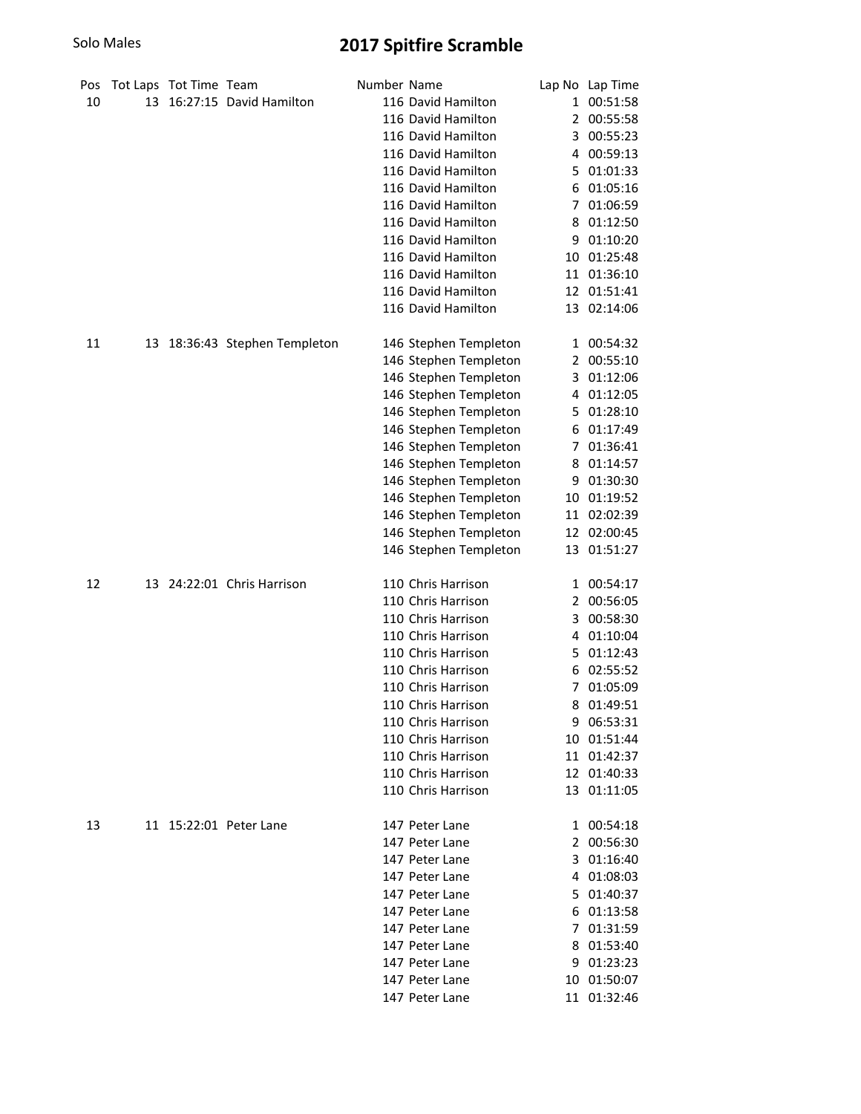| Pos |    | Tot Laps Tot Time Team |                               | Number Name |                       |    | Lap No Lap Time |
|-----|----|------------------------|-------------------------------|-------------|-----------------------|----|-----------------|
| 10  | 13 |                        | 16:27:15 David Hamilton       |             | 116 David Hamilton    |    | 1 00:51:58      |
|     |    |                        |                               |             | 116 David Hamilton    |    | 2 00:55:58      |
|     |    |                        |                               |             | 116 David Hamilton    |    | 3 00:55:23      |
|     |    |                        |                               |             | 116 David Hamilton    |    | 4 00:59:13      |
|     |    |                        |                               |             | 116 David Hamilton    |    | 5 01:01:33      |
|     |    |                        |                               |             | 116 David Hamilton    |    | 6 01:05:16      |
|     |    |                        |                               |             | 116 David Hamilton    |    | 7 01:06:59      |
|     |    |                        |                               |             | 116 David Hamilton    |    | 8 01:12:50      |
|     |    |                        |                               |             | 116 David Hamilton    |    | 9 01:10:20      |
|     |    |                        |                               |             | 116 David Hamilton    |    | 10 01:25:48     |
|     |    |                        |                               |             | 116 David Hamilton    |    | 11 01:36:10     |
|     |    |                        |                               |             | 116 David Hamilton    |    | 12 01:51:41     |
|     |    |                        |                               |             | 116 David Hamilton    |    | 13 02:14:06     |
| 11  |    |                        | 13 18:36:43 Stephen Templeton |             | 146 Stephen Templeton |    | 1 00:54:32      |
|     |    |                        |                               |             | 146 Stephen Templeton | 2  | 00:55:10        |
|     |    |                        |                               |             | 146 Stephen Templeton | 3  | 01:12:06        |
|     |    |                        |                               |             | 146 Stephen Templeton | 4  | 01:12:05        |
|     |    |                        |                               |             | 146 Stephen Templeton | 5  | 01:28:10        |
|     |    |                        |                               |             | 146 Stephen Templeton | 6  | 01:17:49        |
|     |    |                        |                               |             | 146 Stephen Templeton | 7  | 01:36:41        |
|     |    |                        |                               |             | 146 Stephen Templeton | 8  | 01:14:57        |
|     |    |                        |                               |             | 146 Stephen Templeton | 9  | 01:30:30        |
|     |    |                        |                               |             | 146 Stephen Templeton | 10 | 01:19:52        |
|     |    |                        |                               |             | 146 Stephen Templeton |    | 11 02:02:39     |
|     |    |                        |                               |             | 146 Stephen Templeton |    | 12 02:00:45     |
|     |    |                        |                               |             | 146 Stephen Templeton |    | 13 01:51:27     |
| 12  | 13 |                        | 24:22:01 Chris Harrison       |             | 110 Chris Harrison    |    | 1 00:54:17      |
|     |    |                        |                               |             | 110 Chris Harrison    |    | 2 00:56:05      |
|     |    |                        |                               |             | 110 Chris Harrison    |    | 3 00:58:30      |
|     |    |                        |                               |             | 110 Chris Harrison    |    | 4 01:10:04      |
|     |    |                        |                               |             | 110 Chris Harrison    |    | 5 01:12:43      |
|     |    |                        |                               |             | 110 Chris Harrison    | 6  | 02:55:52        |
|     |    |                        |                               |             | 110 Chris Harrison    | 7  | 01:05:09        |
|     |    |                        |                               |             | 110 Chris Harrison    | 8  | 01:49:51        |
|     |    |                        |                               |             | 110 Chris Harrison    |    | 9 06:53:31      |
|     |    |                        |                               |             | 110 Chris Harrison    |    | 10 01:51:44     |
|     |    |                        |                               |             | 110 Chris Harrison    |    | 11 01:42:37     |
|     |    |                        |                               |             | 110 Chris Harrison    |    | 12 01:40:33     |
|     |    |                        |                               |             | 110 Chris Harrison    |    | 13 01:11:05     |
| 13  |    |                        | 11 15:22:01 Peter Lane        |             | 147 Peter Lane        |    | 1 00:54:18      |
|     |    |                        |                               |             | 147 Peter Lane        |    | 2 00:56:30      |
|     |    |                        |                               |             | 147 Peter Lane        |    | 3 01:16:40      |
|     |    |                        |                               |             | 147 Peter Lane        |    | 4 01:08:03      |
|     |    |                        |                               |             | 147 Peter Lane        |    | 5 01:40:37      |
|     |    |                        |                               |             | 147 Peter Lane        |    | 6 01:13:58      |
|     |    |                        |                               |             | 147 Peter Lane        |    | 7 01:31:59      |
|     |    |                        |                               |             | 147 Peter Lane        |    | 8 01:53:40      |
|     |    |                        |                               |             | 147 Peter Lane        |    | 9 01:23:23      |
|     |    |                        |                               |             | 147 Peter Lane        |    | 10 01:50:07     |
|     |    |                        |                               |             | 147 Peter Lane        |    | 11 01:32:46     |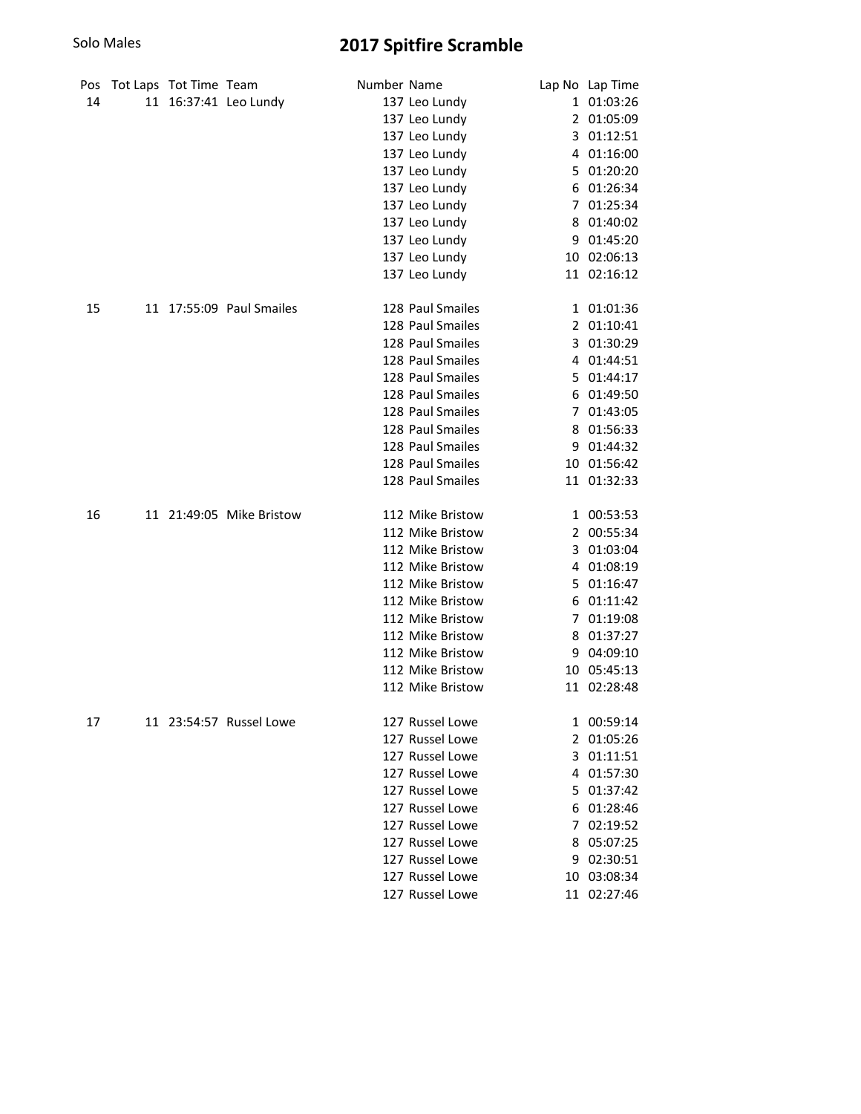| Pos | Tot Laps Tot Time Team |                          | Number Name |                  |    | Lap No Lap Time |
|-----|------------------------|--------------------------|-------------|------------------|----|-----------------|
| 14  |                        | 11 16:37:41 Leo Lundy    |             | 137 Leo Lundy    |    | 1 01:03:26      |
|     |                        |                          |             | 137 Leo Lundy    |    | 2 01:05:09      |
|     |                        |                          |             | 137 Leo Lundy    |    | 3 01:12:51      |
|     |                        |                          |             | 137 Leo Lundy    | 4  | 01:16:00        |
|     |                        |                          |             | 137 Leo Lundy    | 5. | 01:20:20        |
|     |                        |                          |             | 137 Leo Lundy    | 6  | 01:26:34        |
|     |                        |                          |             | 137 Leo Lundy    |    | 7 01:25:34      |
|     |                        |                          |             | 137 Leo Lundy    | 8  | 01:40:02        |
|     |                        |                          |             | 137 Leo Lundy    |    | 9 01:45:20      |
|     |                        |                          |             | 137 Leo Lundy    |    | 10 02:06:13     |
|     |                        |                          |             | 137 Leo Lundy    |    | 11 02:16:12     |
| 15  |                        | 11 17:55:09 Paul Smailes |             | 128 Paul Smailes |    | 1 01:01:36      |
|     |                        |                          |             | 128 Paul Smailes |    | 2 01:10:41      |
|     |                        |                          |             | 128 Paul Smailes |    | 3 01:30:29      |
|     |                        |                          |             | 128 Paul Smailes |    | 4 01:44:51      |
|     |                        |                          |             | 128 Paul Smailes |    | 5 01:44:17      |
|     |                        |                          |             | 128 Paul Smailes |    | 6 01:49:50      |
|     |                        |                          |             | 128 Paul Smailes |    | 7 01:43:05      |
|     |                        |                          |             | 128 Paul Smailes |    | 8 01:56:33      |
|     |                        |                          |             | 128 Paul Smailes |    | 9 01:44:32      |
|     |                        |                          |             | 128 Paul Smailes |    | 10 01:56:42     |
|     |                        |                          |             | 128 Paul Smailes |    | 11 01:32:33     |
| 16  |                        | 11 21:49:05 Mike Bristow |             | 112 Mike Bristow |    | 1 00:53:53      |
|     |                        |                          |             | 112 Mike Bristow |    | 2 00:55:34      |
|     |                        |                          |             | 112 Mike Bristow | 3  | 01:03:04        |
|     |                        |                          |             | 112 Mike Bristow | 4  | 01:08:19        |
|     |                        |                          |             | 112 Mike Bristow | 5. | 01:16:47        |
|     |                        |                          |             | 112 Mike Bristow | 6  | 01:11:42        |
|     |                        |                          |             | 112 Mike Bristow | 7  | 01:19:08        |
|     |                        |                          |             | 112 Mike Bristow | 8  | 01:37:27        |
|     |                        |                          |             | 112 Mike Bristow | 9  | 04:09:10        |
|     |                        |                          |             | 112 Mike Bristow |    | 10 05:45:13     |
|     |                        |                          |             | 112 Mike Bristow |    | 11 02:28:48     |
| 17  |                        | 11 23:54:57 Russel Lowe  |             | 127 Russel Lowe  |    | 1 00:59:14      |
|     |                        |                          |             | 127 Russel Lowe  |    | 2 01:05:26      |
|     |                        |                          |             | 127 Russel Lowe  |    | 3 01:11:51      |
|     |                        |                          |             | 127 Russel Lowe  |    | 4 01:57:30      |
|     |                        |                          |             | 127 Russel Lowe  |    | 5 01:37:42      |
|     |                        |                          |             | 127 Russel Lowe  |    | 6 01:28:46      |
|     |                        |                          |             | 127 Russel Lowe  |    | 7 02:19:52      |
|     |                        |                          |             | 127 Russel Lowe  |    | 8 05:07:25      |
|     |                        |                          |             | 127 Russel Lowe  |    | 9 02:30:51      |
|     |                        |                          |             | 127 Russel Lowe  |    | 10 03:08:34     |
|     |                        |                          |             | 127 Russel Lowe  |    | 11 02:27:46     |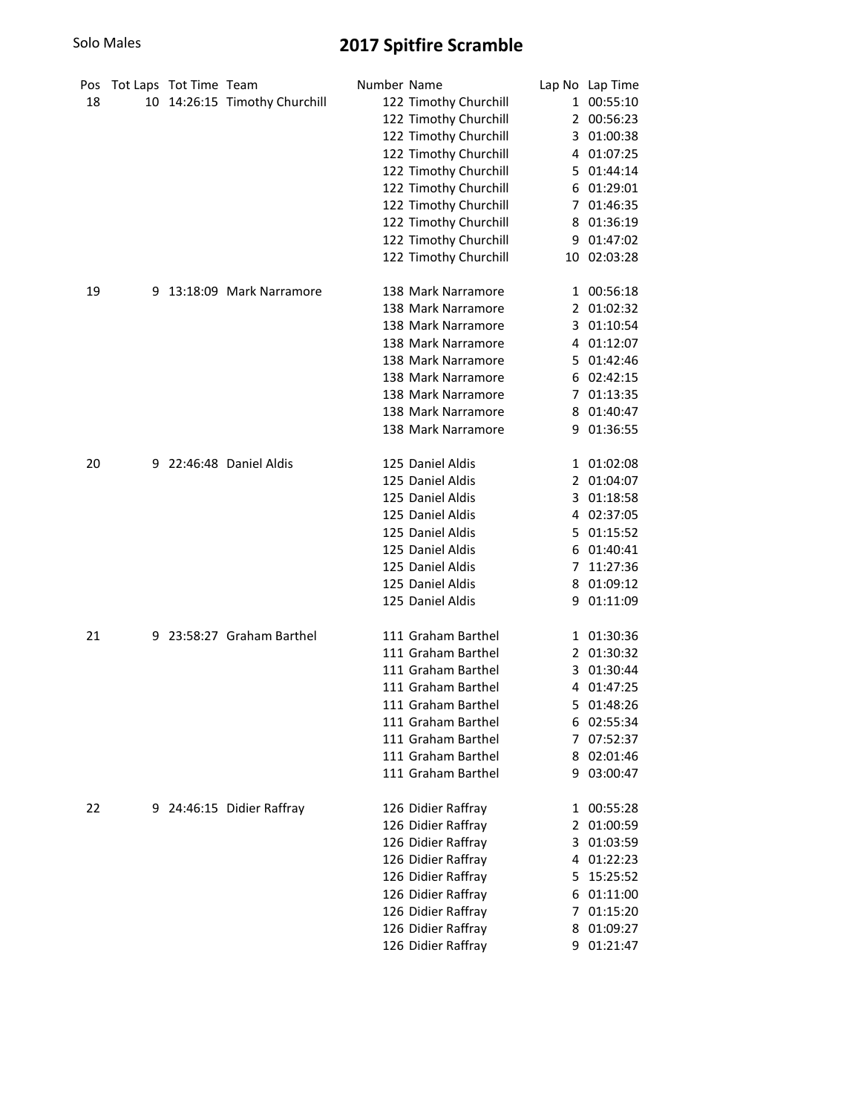| Pos |   | Tot Laps Tot Time Team |                               | Number Name |                       |   | Lap No Lap Time |
|-----|---|------------------------|-------------------------------|-------------|-----------------------|---|-----------------|
| 18  |   |                        | 10 14:26:15 Timothy Churchill |             | 122 Timothy Churchill |   | 1 00:55:10      |
|     |   |                        |                               |             | 122 Timothy Churchill |   | 2 00:56:23      |
|     |   |                        |                               |             | 122 Timothy Churchill | 3 | 01:00:38        |
|     |   |                        |                               |             | 122 Timothy Churchill |   | 4 01:07:25      |
|     |   |                        |                               |             | 122 Timothy Churchill |   | 5 01:44:14      |
|     |   |                        |                               |             | 122 Timothy Churchill | 6 | 01:29:01        |
|     |   |                        |                               |             | 122 Timothy Churchill |   | 7 01:46:35      |
|     |   |                        |                               |             | 122 Timothy Churchill | 8 | 01:36:19        |
|     |   |                        |                               |             | 122 Timothy Churchill |   | 9 01:47:02      |
|     |   |                        |                               |             | 122 Timothy Churchill |   | 10 02:03:28     |
| 19  | 9 |                        | 13:18:09 Mark Narramore       |             | 138 Mark Narramore    |   | 1 00:56:18      |
|     |   |                        |                               |             | 138 Mark Narramore    |   | 2 01:02:32      |
|     |   |                        |                               |             | 138 Mark Narramore    |   | 3 01:10:54      |
|     |   |                        |                               |             | 138 Mark Narramore    |   | 4 01:12:07      |
|     |   |                        |                               |             | 138 Mark Narramore    |   | 5 01:42:46      |
|     |   |                        |                               |             | 138 Mark Narramore    |   | 6 02:42:15      |
|     |   |                        |                               |             | 138 Mark Narramore    |   | 7 01:13:35      |
|     |   |                        |                               |             | 138 Mark Narramore    |   | 8 01:40:47      |
|     |   |                        |                               |             | 138 Mark Narramore    |   | 9 01:36:55      |
| 20  |   |                        | 9 22:46:48 Daniel Aldis       |             | 125 Daniel Aldis      |   | 1 01:02:08      |
|     |   |                        |                               |             | 125 Daniel Aldis      |   | 2 01:04:07      |
|     |   |                        |                               |             | 125 Daniel Aldis      |   | 3 01:18:58      |
|     |   |                        |                               |             | 125 Daniel Aldis      |   | 4 02:37:05      |
|     |   |                        |                               |             | 125 Daniel Aldis      |   | 5 01:15:52      |
|     |   |                        |                               |             | 125 Daniel Aldis      |   | 6 01:40:41      |
|     |   |                        |                               |             | 125 Daniel Aldis      | 7 | 11:27:36        |
|     |   |                        |                               |             | 125 Daniel Aldis      |   | 8 01:09:12      |
|     |   |                        |                               |             | 125 Daniel Aldis      |   | 9 01:11:09      |
| 21  |   |                        | 9 23:58:27 Graham Barthel     |             | 111 Graham Barthel    |   | 1 01:30:36      |
|     |   |                        |                               |             | 111 Graham Barthel    |   | 2 01:30:32      |
|     |   |                        |                               |             | 111 Graham Barthel    |   | 3 01:30:44      |
|     |   |                        |                               |             | 111 Graham Barthel    |   | 4 01:47:25      |
|     |   |                        |                               |             | 111 Graham Barthel    |   | 5 01:48:26      |
|     |   |                        |                               |             | 111 Graham Barthel    |   | 6 02:55:34      |
|     |   |                        |                               |             | 111 Graham Barthel    |   | 7 07:52:37      |
|     |   |                        |                               |             | 111 Graham Barthel    |   | 8 02:01:46      |
|     |   |                        |                               |             | 111 Graham Barthel    |   | 9 03:00:47      |
| 22  |   |                        | 9 24:46:15 Didier Raffray     |             | 126 Didier Raffray    |   | 1 00:55:28      |
|     |   |                        |                               |             | 126 Didier Raffray    |   | 2 01:00:59      |
|     |   |                        |                               |             | 126 Didier Raffray    |   | 3 01:03:59      |
|     |   |                        |                               |             | 126 Didier Raffray    |   | 4 01:22:23      |
|     |   |                        |                               |             | 126 Didier Raffray    |   | 5 15:25:52      |
|     |   |                        |                               |             | 126 Didier Raffray    |   | 6 01:11:00      |
|     |   |                        |                               |             | 126 Didier Raffray    |   | 7 01:15:20      |
|     |   |                        |                               |             | 126 Didier Raffray    |   | 8 01:09:27      |
|     |   |                        |                               |             | 126 Didier Raffray    |   | 9 01:21:47      |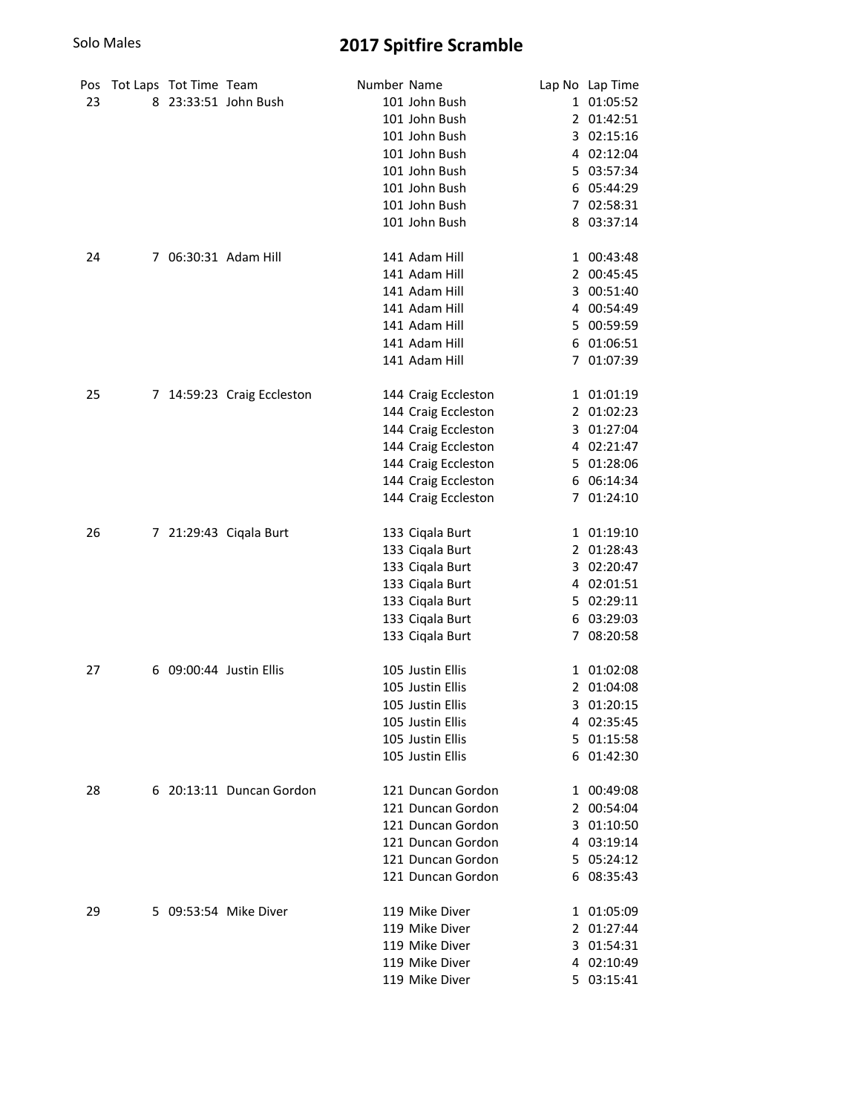| Pos<br>23 |   | Tot Laps Tot Time Team | 8 23:33:51 John Bush     | Number Name | 101 John Bush<br>101 John Bush<br>101 John Bush<br>101 John Bush<br>101 John Bush<br>101 John Bush<br>101 John Bush<br>101 John Bush                          | Lap No Lap Time<br>1 01:05:52<br>2 01:42:51<br>3 02:15:16<br>4 02:12:04<br>5 03:57:34<br>6 05:44:29<br>7 02:58:31<br>8 03:37:14 |
|-----------|---|------------------------|--------------------------|-------------|---------------------------------------------------------------------------------------------------------------------------------------------------------------|---------------------------------------------------------------------------------------------------------------------------------|
| 24        |   |                        | 7 06:30:31 Adam Hill     |             | 141 Adam Hill<br>141 Adam Hill<br>141 Adam Hill<br>141 Adam Hill<br>141 Adam Hill<br>141 Adam Hill<br>141 Adam Hill                                           | 1 00:43:48<br>2 00:45:45<br>3 00:51:40<br>4 00:54:49<br>5 00:59:59<br>6 01:06:51<br>7 01:07:39                                  |
| 25        | 7 |                        | 14:59:23 Craig Eccleston |             | 144 Craig Eccleston<br>144 Craig Eccleston<br>144 Craig Eccleston<br>144 Craig Eccleston<br>144 Craig Eccleston<br>144 Craig Eccleston<br>144 Craig Eccleston | 1 01:01:19<br>2 01:02:23<br>3 01:27:04<br>4 02:21:47<br>5 01:28:06<br>6 06:14:34<br>7 01:24:10                                  |
| 26        |   |                        | 7 21:29:43 Ciqala Burt   |             | 133 Ciqala Burt<br>133 Ciqala Burt<br>133 Ciqala Burt<br>133 Ciqala Burt<br>133 Ciqala Burt<br>133 Ciqala Burt<br>133 Ciqala Burt                             | 1 01:19:10<br>2 01:28:43<br>3 02:20:47<br>4 02:01:51<br>5 02:29:11<br>6 03:29:03<br>7 08:20:58                                  |
| 27        |   |                        | 6 09:00:44 Justin Ellis  |             | 105 Justin Ellis<br>105 Justin Ellis<br>105 Justin Ellis<br>105 Justin Ellis<br>105 Justin Ellis<br>105 Justin Ellis                                          | 1 01:02:08<br>2 01:04:08<br>3 01:20:15<br>4 02:35:45<br>5 01:15:58<br>6 01:42:30                                                |
| 28        |   |                        | 6 20:13:11 Duncan Gordon |             | 121 Duncan Gordon<br>121 Duncan Gordon<br>121 Duncan Gordon<br>121 Duncan Gordon<br>121 Duncan Gordon<br>121 Duncan Gordon                                    | 1 00:49:08<br>2 00:54:04<br>3 01:10:50<br>4 03:19:14<br>5 05:24:12<br>6 08:35:43                                                |
| 29        |   |                        | 5 09:53:54 Mike Diver    |             | 119 Mike Diver<br>119 Mike Diver<br>119 Mike Diver<br>119 Mike Diver<br>119 Mike Diver                                                                        | 1 01:05:09<br>2 01:27:44<br>3 01:54:31<br>4 02:10:49<br>5 03:15:41                                                              |